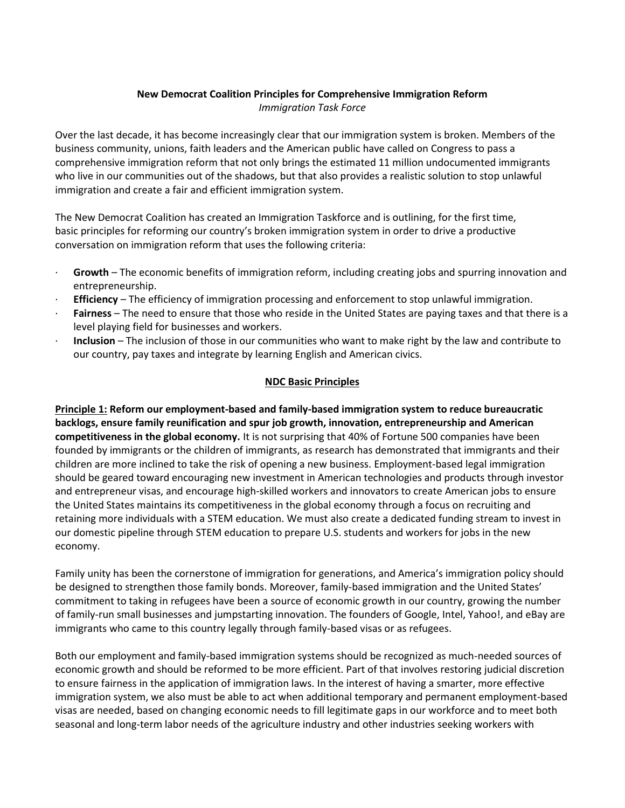## **New Democrat Coalition Principles for Comprehensive Immigration Reform** *Immigration Task Force*

Over the last decade, it has become increasingly clear that our immigration system is broken. Members of the business community, unions, faith leaders and the American public have called on Congress to pass a comprehensive immigration reform that not only brings the estimated 11 million undocumented immigrants who live in our communities out of the shadows, but that also provides a realistic solution to stop unlawful immigration and create a fair and efficient immigration system.

The New Democrat Coalition has created an Immigration Taskforce and is outlining, for the first time, basic principles for reforming our country's broken immigration system in order to drive a productive conversation on immigration reform that uses the following criteria:

- · **Growth** The economic benefits of immigration reform, including creating jobs and spurring innovation and entrepreneurship.
- · **Efficiency** The efficiency of immigration processing and enforcement to stop unlawful immigration.
- Fairness The need to ensure that those who reside in the United States are paying taxes and that there is a level playing field for businesses and workers.
- · **Inclusion** The inclusion of those in our communities who want to make right by the law and contribute to our country, pay taxes and integrate by learning English and American civics.

## **NDC Basic Principles**

**Principle 1: Reform our employment-based and family-based immigration system to reduce bureaucratic backlogs, ensure family reunification and spur job growth, innovation, entrepreneurship and American competitiveness in the global economy.** It is not surprising that 40% of Fortune 500 companies have been founded by immigrants or the children of immigrants, as research has demonstrated that immigrants and their children are more inclined to take the risk of opening a new business. Employment-based legal immigration should be geared toward encouraging new investment in American technologies and products through investor and entrepreneur visas, and encourage high-skilled workers and innovators to create American jobs to ensure the United States maintains its competitiveness in the global economy through a focus on recruiting and retaining more individuals with a STEM education. We must also create a dedicated funding stream to invest in our domestic pipeline through STEM education to prepare U.S. students and workers for jobs in the new economy.

Family unity has been the cornerstone of immigration for generations, and America's immigration policy should be designed to strengthen those family bonds. Moreover, family-based immigration and the United States' commitment to taking in refugees have been a source of economic growth in our country, growing the number of family-run small businesses and jumpstarting innovation. The founders of Google, Intel, Yahoo!, and eBay are immigrants who came to this country legally through family-based visas or as refugees.

Both our employment and family-based immigration systems should be recognized as much-needed sources of economic growth and should be reformed to be more efficient. Part of that involves restoring judicial discretion to ensure fairness in the application of immigration laws. In the interest of having a smarter, more effective immigration system, we also must be able to act when additional temporary and permanent employment-based visas are needed, based on changing economic needs to fill legitimate gaps in our workforce and to meet both seasonal and long-term labor needs of the agriculture industry and other industries seeking workers with